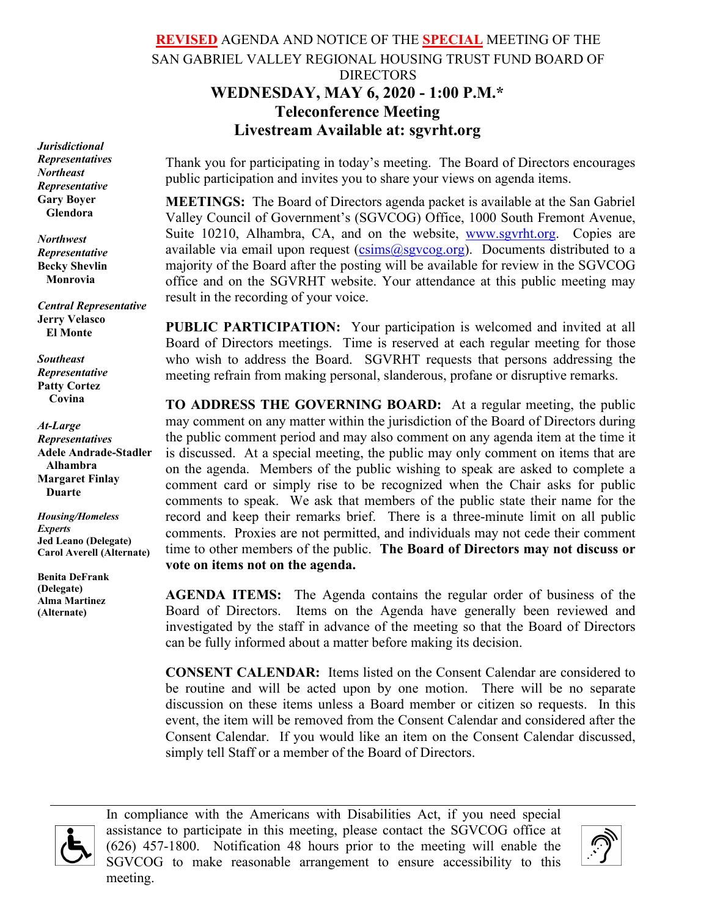# **REVISED** AGENDA AND NOTICE OF THE **SPECIAL** MEETING OF THE SAN GABRIEL VALLEY REGIONAL HOUSING TRUST FUND BOARD OF DIRECTORS **WEDNESDAY, MAY 6, 2020 - 1:00 P.M.\* Teleconference Meeting Livestream Available at: sgvrht.org**

*Jurisdictional Representatives Northeast Representative* **Gary Boyer Glendora**

*Northwest Representative* **Becky Shevlin Monrovia**

*Central Representative* **Jerry Velasco El Monte**

*Southeast Representative* **Patty Cortez Covina**

*At-Large Representatives* **Adele Andrade-Stadler Alhambra Margaret Finlay Duarte**

*Housing/Homeless Experts* **Jed Leano (Delegate) Carol Averell (Alternate)**

**Benita DeFrank (Delegate) Alma Martinez (Alternate)**

Thank you for participating in today's meeting. The Board of Directors encourages public participation and invites you to share your views on agenda items.

**MEETINGS:** The Board of Directors agenda packet is available at the San Gabriel Valley Council of Government's (SGVCOG) Office, 1000 South Fremont Avenue, Suite 10210, Alhambra, CA, and on the website, [www.sgvrht.org.](http://www.sgvrht.org/) Copies are available via email upon request  $(c\sin s(\omega s g)$  org). Documents distributed to a majority of the Board after the posting will be available for review in the SGVCOG office and on the SGVRHT website. Your attendance at this public meeting may result in the recording of your voice.

**PUBLIC PARTICIPATION:** Your participation is welcomed and invited at all Board of Directors meetings. Time is reserved at each regular meeting for those who wish to address the Board. SGVRHT requests that persons addressing the meeting refrain from making personal, slanderous, profane or disruptive remarks.

**TO ADDRESS THE GOVERNING BOARD:** At a regular meeting, the public may comment on any matter within the jurisdiction of the Board of Directors during the public comment period and may also comment on any agenda item at the time it is discussed. At a special meeting, the public may only comment on items that are on the agenda. Members of the public wishing to speak are asked to complete a comment card or simply rise to be recognized when the Chair asks for public comments to speak. We ask that members of the public state their name for the record and keep their remarks brief. There is a three-minute limit on all public comments.Proxies are not permitted, and individuals may not cede their comment time to other members of the public. **The Board of Directors may not discuss or vote on items not on the agenda.**

**AGENDA ITEMS:** The Agenda contains the regular order of business of the Board of Directors. Items on the Agenda have generally been reviewed and investigated by the staff in advance of the meeting so that the Board of Directors can be fully informed about a matter before making its decision.

**CONSENT CALENDAR:** Items listed on the Consent Calendar are considered to be routine and will be acted upon by one motion. There will be no separate discussion on these items unless a Board member or citizen so requests. In this event, the item will be removed from the Consent Calendar and considered after the Consent Calendar. If you would like an item on the Consent Calendar discussed, simply tell Staff or a member of the Board of Directors.



In compliance with the Americans with Disabilities Act, if you need special assistance to participate in this meeting, please contact the SGVCOG office at (626) 457-1800. Notification 48 hours prior to the meeting will enable the SGVCOG to make reasonable arrangement to ensure accessibility to this meeting.

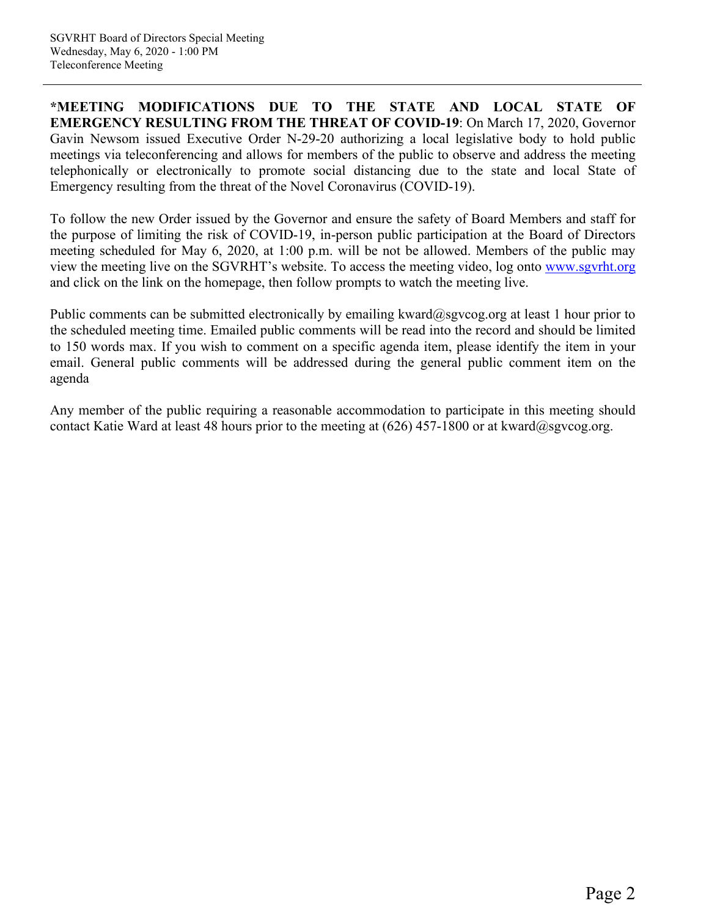**\*MEETING MODIFICATIONS DUE TO THE STATE AND LOCAL STATE OF EMERGENCY RESULTING FROM THE THREAT OF COVID-19**: On March 17, 2020, Governor Gavin Newsom issued Executive Order N-29-20 authorizing a local legislative body to hold public meetings via teleconferencing and allows for members of the public to observe and address the meeting telephonically or electronically to promote social distancing due to the state and local State of Emergency resulting from the threat of the Novel Coronavirus (COVID-19).

To follow the new Order issued by the Governor and ensure the safety of Board Members and staff for the purpose of limiting the risk of COVID-19, in-person public participation at the Board of Directors meeting scheduled for May 6, 2020, at 1:00 p.m. will be not be allowed. Members of the public may view the meeting live on the SGVRHT's website. To access the meeting video, log onto [www.sgvrht.org](http://www.sgvrht.org/) and click on the link on the homepage, then follow prompts to watch the meeting live.

Public comments can be submitted electronically by emailing kward@sgvcog.org at least 1 hour prior to the scheduled meeting time. Emailed public comments will be read into the record and should be limited to 150 words max. If you wish to comment on a specific agenda item, please identify the item in your email. General public comments will be addressed during the general public comment item on the agenda

Any member of the public requiring a reasonable accommodation to participate in this meeting should contact Katie Ward at least 48 hours prior to the meeting at  $(626)$  457-1800 or at kward@sgvcog.org.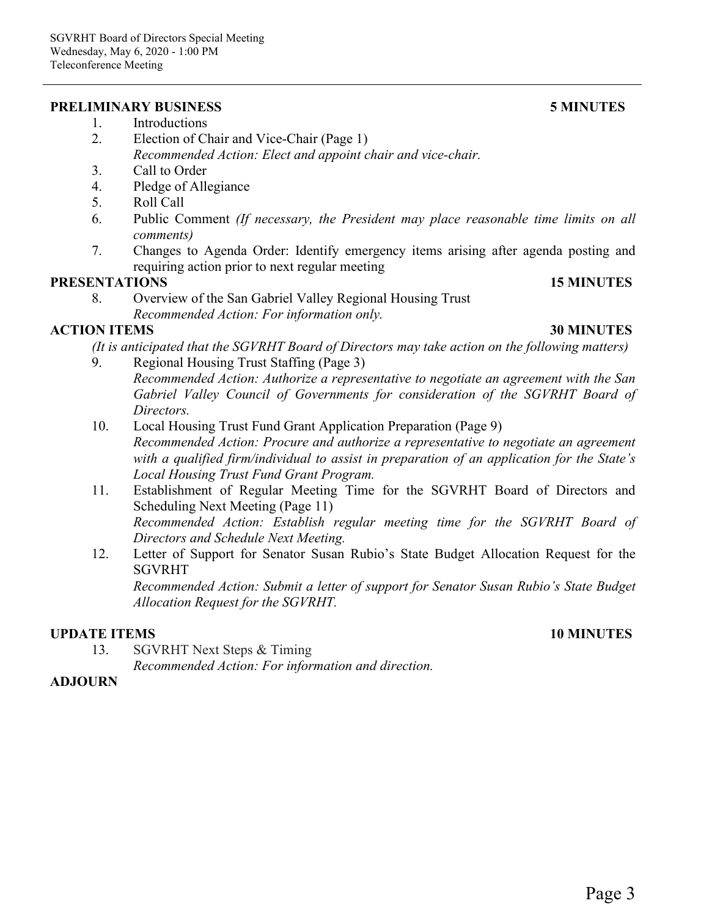#### **PRELIMINARY BUSINESS 5 MINUTES**

- 2. Election of Chair and Vice-Chair (Page 1) *Recommended Action: Elect and appoint chair and vice-chair.*
- 3. Call to Order
- 4. Pledge of Allegiance
- 5. Roll Call
- 6. Public Comment *(If necessary, the President may place reasonable time limits on all comments)*
- 7. Changes to Agenda Order: Identify emergency items arising after agenda posting and requiring action prior to next regular meeting

#### **PRESENTATIONS 15 MINUTES**

8. Overview of the San Gabriel Valley Regional Housing Trust *Recommended Action: For information only.*

# **ACTION ITEMS 30 MINUTES**

*(It is anticipated that the SGVRHT Board of Directors may take action on the following matters)*

- 9. Regional Housing Trust Staffing (Page 3) *Recommended Action: Authorize a representative to negotiate an agreement with the San Gabriel Valley Council of Governments for consideration of the SGVRHT Board of Directors.*
- 10. Local Housing Trust Fund Grant Application Preparation (Page 9) *Recommended Action: Procure and authorize a representative to negotiate an agreement with a qualified firm/individual to assist in preparation of an application for the State's Local Housing Trust Fund Grant Program.*
- 11. Establishment of Regular Meeting Time for the SGVRHT Board of Directors and Scheduling Next Meeting (Page 11) *Recommended Action: Establish regular meeting time for the SGVRHT Board of Directors and Schedule Next Meeting.*
- 12. Letter of Support for Senator Susan Rubio's State Budget Allocation Request for the SGVRHT

*Recommended Action: Submit a letter of support for Senator Susan Rubio's State Budget Allocation Request for the SGVRHT.*

# **UPDATE ITEMS 10 MINUTES**

13. SGVRHT Next Steps & Timing

*Recommended Action: For information and direction.* 

# **ADJOURN**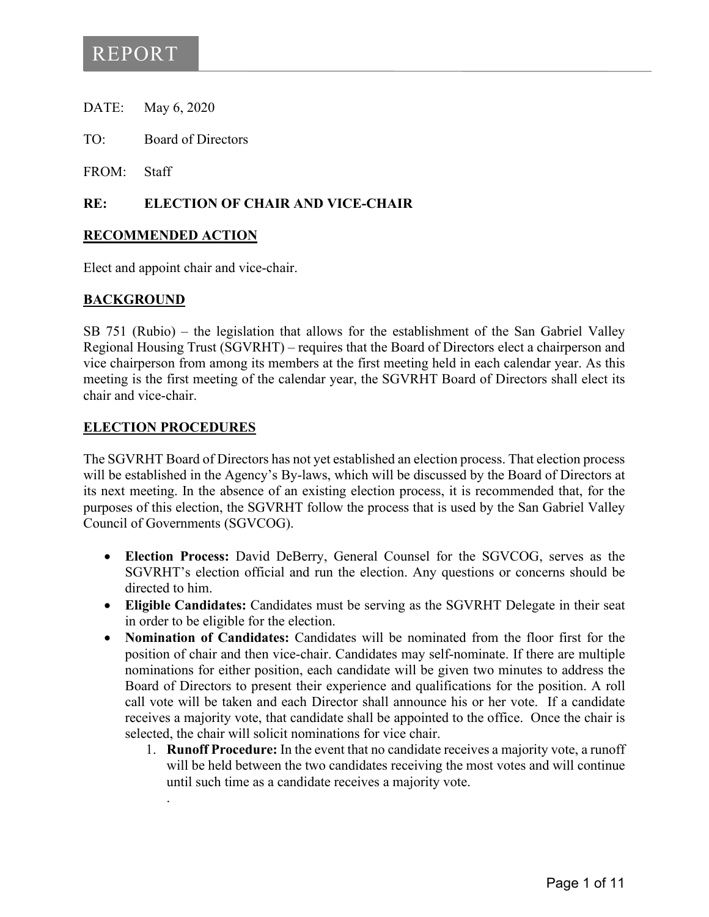- DATE: May 6, 2020
- TO: Board of Directors
- FROM: Staff

## **RE: ELECTION OF CHAIR AND VICE-CHAIR**

#### **RECOMMENDED ACTION**

Elect and appoint chair and vice-chair.

## **BACKGROUND**

SB 751 (Rubio) – the legislation that allows for the establishment of the San Gabriel Valley Regional Housing Trust (SGVRHT) – requires that the Board of Directors elect a chairperson and vice chairperson from among its members at the first meeting held in each calendar year. As this meeting is the first meeting of the calendar year, the SGVRHT Board of Directors shall elect its chair and vice-chair.

#### **ELECTION PROCEDURES**

.

The SGVRHT Board of Directors has not yet established an election process. That election process will be established in the Agency's By-laws, which will be discussed by the Board of Directors at its next meeting. In the absence of an existing election process, it is recommended that, for the purposes of this election, the SGVRHT follow the process that is used by the San Gabriel Valley Council of Governments (SGVCOG).

- **Election Process:** David DeBerry, General Counsel for the SGVCOG, serves as the SGVRHT's election official and run the election. Any questions or concerns should be directed to him.
- **Eligible Candidates:** Candidates must be serving as the SGVRHT Delegate in their seat in order to be eligible for the election.
- **Nomination of Candidates:** Candidates will be nominated from the floor first for the position of chair and then vice-chair. Candidates may self-nominate. If there are multiple nominations for either position, each candidate will be given two minutes to address the Board of Directors to present their experience and qualifications for the position. A roll call vote will be taken and each Director shall announce his or her vote. If a candidate receives a majority vote, that candidate shall be appointed to the office. Once the chair is selected, the chair will solicit nominations for vice chair.
	- 1. **Runoff Procedure:** In the event that no candidate receives a majority vote, a runoff will be held between the two candidates receiving the most votes and will continue until such time as a candidate receives a majority vote.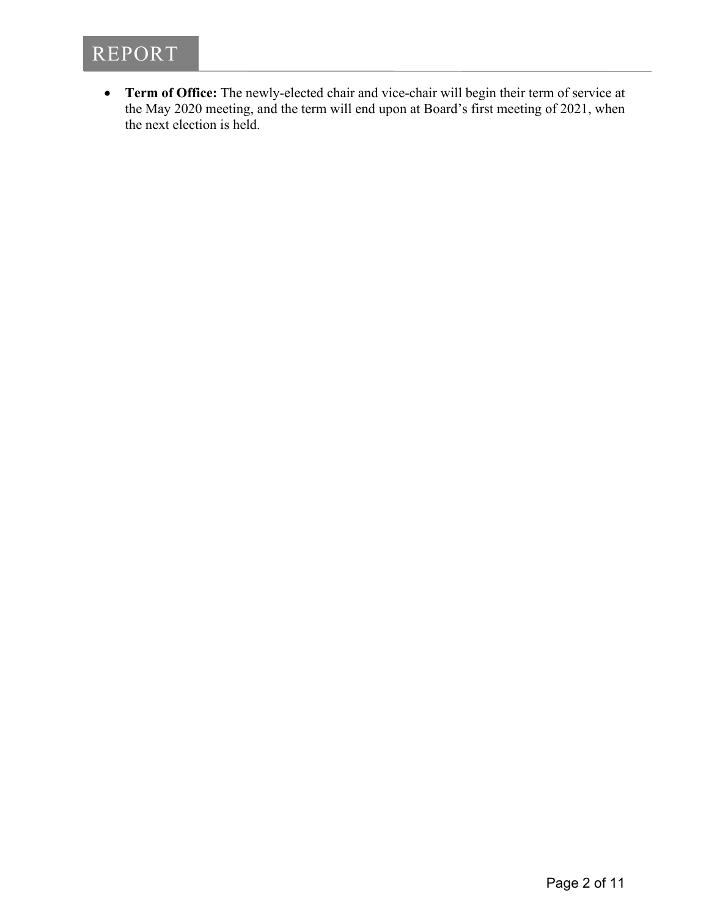

• **Term of Office:** The newly-elected chair and vice-chair will begin their term of service at the May 2020 meeting, and the term will end upon at Board's first meeting of 2021, when the next election is held.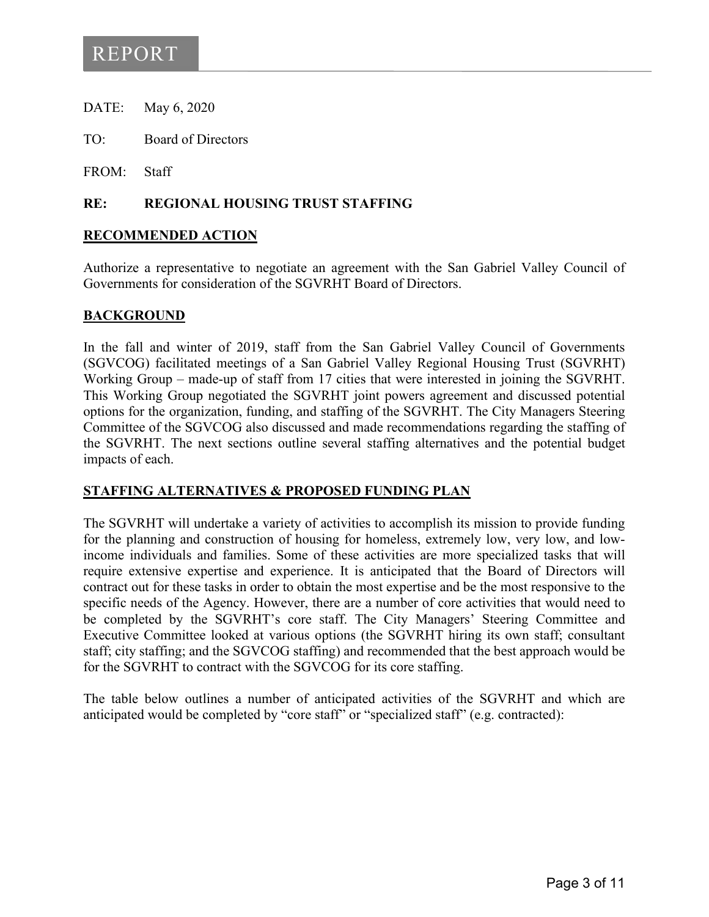- DATE: May 6, 2020
- TO: Board of Directors

FROM: Staff

## **RE: REGIONAL HOUSING TRUST STAFFING**

#### **RECOMMENDED ACTION**

Authorize a representative to negotiate an agreement with the San Gabriel Valley Council of Governments for consideration of the SGVRHT Board of Directors.

## **BACKGROUND**

In the fall and winter of 2019, staff from the San Gabriel Valley Council of Governments (SGVCOG) facilitated meetings of a San Gabriel Valley Regional Housing Trust (SGVRHT) Working Group – made-up of staff from 17 cities that were interested in joining the SGVRHT. This Working Group negotiated the SGVRHT joint powers agreement and discussed potential options for the organization, funding, and staffing of the SGVRHT. The City Managers Steering Committee of the SGVCOG also discussed and made recommendations regarding the staffing of the SGVRHT. The next sections outline several staffing alternatives and the potential budget impacts of each.

# **STAFFING ALTERNATIVES & PROPOSED FUNDING PLAN**

The SGVRHT will undertake a variety of activities to accomplish its mission to provide funding for the planning and construction of housing for homeless, extremely low, very low, and lowincome individuals and families. Some of these activities are more specialized tasks that will require extensive expertise and experience. It is anticipated that the Board of Directors will contract out for these tasks in order to obtain the most expertise and be the most responsive to the specific needs of the Agency. However, there are a number of core activities that would need to be completed by the SGVRHT's core staff. The City Managers' Steering Committee and Executive Committee looked at various options (the SGVRHT hiring its own staff; consultant staff; city staffing; and the SGVCOG staffing) and recommended that the best approach would be for the SGVRHT to contract with the SGVCOG for its core staffing.

The table below outlines a number of anticipated activities of the SGVRHT and which are anticipated would be completed by "core staff" or "specialized staff" (e.g. contracted):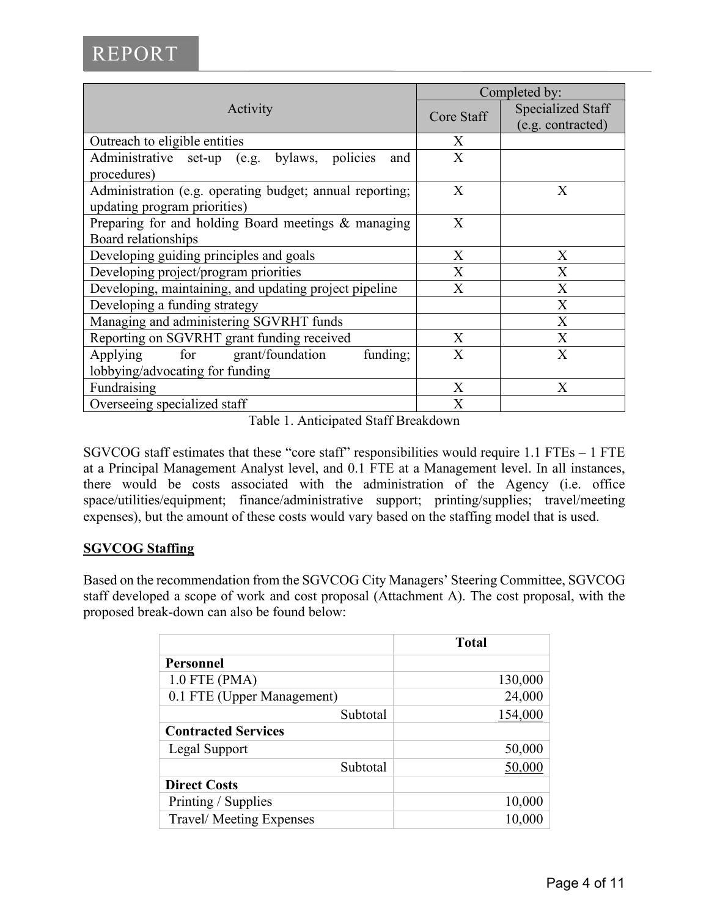| Activity                                                 | Completed by:           |                   |
|----------------------------------------------------------|-------------------------|-------------------|
|                                                          | Core Staff              | Specialized Staff |
|                                                          |                         | (e.g. contracted) |
| Outreach to eligible entities                            | X                       |                   |
| Administrative set-up (e.g. bylaws, policies<br>and      | X                       |                   |
| procedures)                                              |                         |                   |
| Administration (e.g. operating budget; annual reporting; | X                       | X                 |
| updating program priorities)                             |                         |                   |
| Preparing for and holding Board meetings & managing      | X                       |                   |
| Board relationships                                      |                         |                   |
| Developing guiding principles and goals                  | $\overline{X}$          | X                 |
| Developing project/program priorities                    | X                       | X                 |
| Developing, maintaining, and updating project pipeline   | $\overline{X}$          | X                 |
| Developing a funding strategy                            |                         | X                 |
| Managing and administering SGVRHT funds                  |                         | X                 |
| Reporting on SGVRHT grant funding received               | X                       | X                 |
| for grant/foundation<br>funding;<br>Applying             | $\overline{X}$          | $\overline{X}$    |
| lobbying/advocating for funding                          |                         |                   |
| Fundraising                                              | X                       | X                 |
| Overseeing specialized staff                             | $\overline{\mathrm{X}}$ |                   |

Table 1. Anticipated Staff Breakdown

SGVCOG staff estimates that these "core staff" responsibilities would require 1.1 FTEs – 1 FTE at a Principal Management Analyst level, and 0.1 FTE at a Management level. In all instances, there would be costs associated with the administration of the Agency (i.e. office space/utilities/equipment; finance/administrative support; printing/supplies; travel/meeting expenses), but the amount of these costs would vary based on the staffing model that is used.

# **SGVCOG Staffing**

Based on the recommendation from the SGVCOG City Managers' Steering Committee, SGVCOG staff developed a scope of work and cost proposal (Attachment A). The cost proposal, with the proposed break-down can also be found below:

|                            | <b>Total</b> |
|----------------------------|--------------|
| Personnel                  |              |
| $1.0$ FTE (PMA)            | 130,000      |
| 0.1 FTE (Upper Management) | 24,000       |
| Subtotal                   | 154,000      |
| <b>Contracted Services</b> |              |
| Legal Support              | 50,000       |
| Subtotal                   | 50,000       |
| <b>Direct Costs</b>        |              |
| Printing / Supplies        | 10,000       |
| Travel/Meeting Expenses    | 10,000       |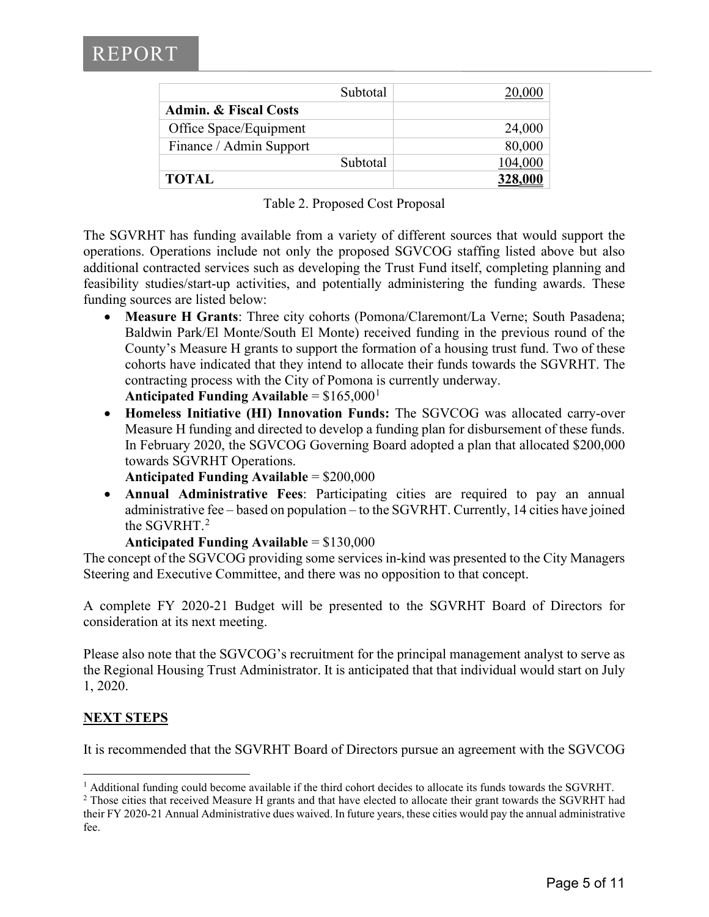| Subtotal                         |         |
|----------------------------------|---------|
| <b>Admin. &amp; Fiscal Costs</b> |         |
| Office Space/Equipment           | 24,000  |
| Finance / Admin Support          | 80,000  |
| Subtotal                         | 104,000 |
| <b>TOTAL</b>                     |         |

Table 2. Proposed Cost Proposal

The SGVRHT has funding available from a variety of different sources that would support the operations. Operations include not only the proposed SGVCOG staffing listed above but also additional contracted services such as developing the Trust Fund itself, completing planning and feasibility studies/start-up activities, and potentially administering the funding awards. These funding sources are listed below:

- **Measure H Grants**: Three city cohorts (Pomona/Claremont/La Verne; South Pasadena; Baldwin Park/El Monte/South El Monte) received funding in the previous round of the County's Measure H grants to support the formation of a housing trust fund. Two of these cohorts have indicated that they intend to allocate their funds towards the SGVRHT. The contracting process with the City of Pomona is currently underway. **Anticipated Funding Available** =  $$165,000<sup>1</sup>$  $$165,000<sup>1</sup>$  $$165,000<sup>1</sup>$
- **Homeless Initiative (HI) Innovation Funds:** The SGVCOG was allocated carry-over Measure H funding and directed to develop a funding plan for disbursement of these funds. In February 2020, the SGVCOG Governing Board adopted a plan that allocated \$200,000 towards SGVRHT Operations.
	- **Anticipated Funding Available** = \$200,000
- **Annual Administrative Fees**: Participating cities are required to pay an annual administrative fee – based on population – to the SGVRHT. Currently, 14 cities have joined the SGVRHT. $2$

```
Anticipated Funding Available = $130,000
```
The concept of the SGVCOG providing some services in-kind was presented to the City Managers Steering and Executive Committee, and there was no opposition to that concept.

A complete FY 2020-21 Budget will be presented to the SGVRHT Board of Directors for consideration at its next meeting.

Please also note that the SGVCOG's recruitment for the principal management analyst to serve as the Regional Housing Trust Administrator. It is anticipated that that individual would start on July 1, 2020.

# **NEXT STEPS**

It is recommended that the SGVRHT Board of Directors pursue an agreement with the SGVCOG

<span id="page-7-0"></span><sup>&</sup>lt;sup>1</sup> Additional funding could become available if the third cohort decides to allocate its funds towards the SGVRHT.

<span id="page-7-1"></span><sup>&</sup>lt;sup>2</sup> Those cities that received Measure H grants and that have elected to allocate their grant towards the SGVRHT had their FY 2020-21 Annual Administrative dues waived. In future years, these cities would pay the annual administrative fee.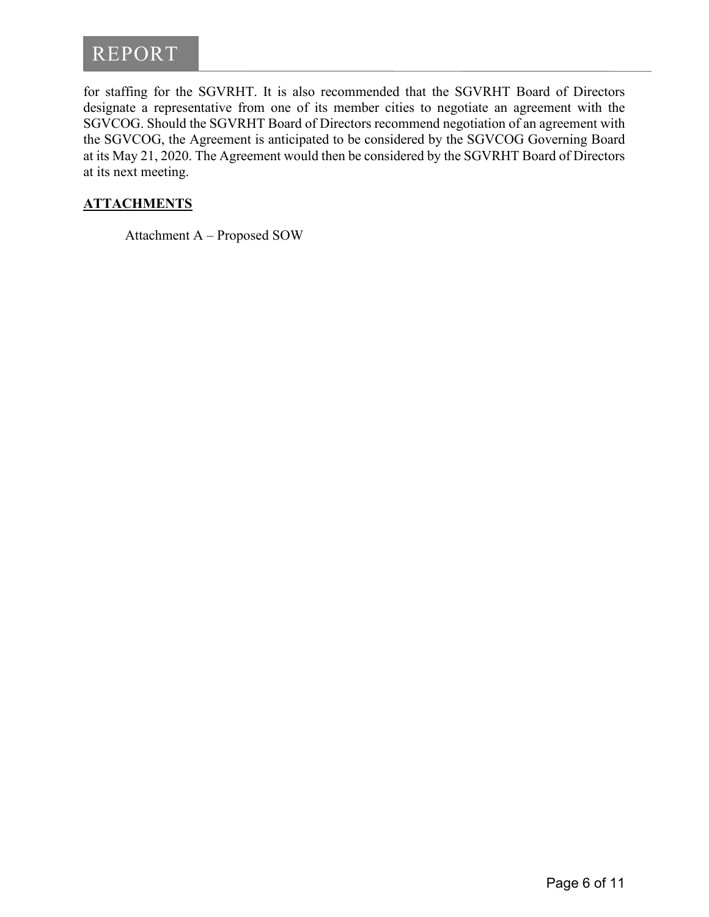for staffing for the SGVRHT. It is also recommended that the SGVRHT Board of Directors designate a representative from one of its member cities to negotiate an agreement with the SGVCOG. Should the SGVRHT Board of Directors recommend negotiation of an agreement with the SGVCOG, the Agreement is anticipated to be considered by the SGVCOG Governing Board at its May 21, 2020. The Agreement would then be considered by the SGVRHT Board of Directors at its next meeting.

# **ATTACHMENTS**

Attachment A – Proposed SOW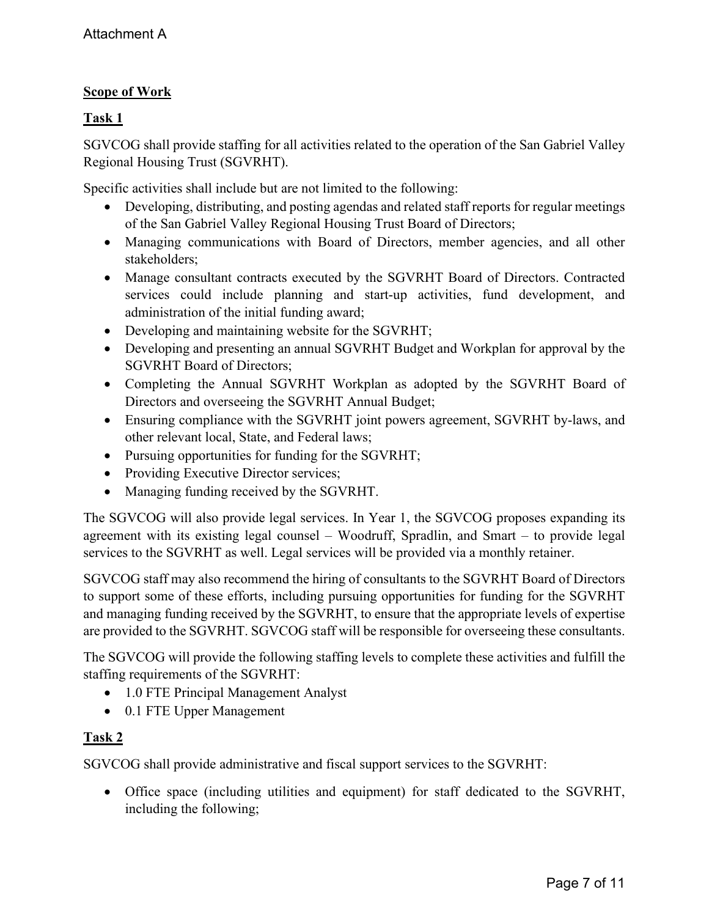# **Scope of Work**

# **Task 1**

SGVCOG shall provide staffing for all activities related to the operation of the San Gabriel Valley Regional Housing Trust (SGVRHT).

Specific activities shall include but are not limited to the following:

- Developing, distributing, and posting agendas and related staff reports for regular meetings of the San Gabriel Valley Regional Housing Trust Board of Directors;
- Managing communications with Board of Directors, member agencies, and all other stakeholders;
- Manage consultant contracts executed by the SGVRHT Board of Directors. Contracted services could include planning and start-up activities, fund development, and administration of the initial funding award;
- Developing and maintaining website for the SGVRHT;
- Developing and presenting an annual SGVRHT Budget and Workplan for approval by the SGVRHT Board of Directors;
- Completing the Annual SGVRHT Workplan as adopted by the SGVRHT Board of Directors and overseeing the SGVRHT Annual Budget;
- Ensuring compliance with the SGVRHT joint powers agreement, SGVRHT by-laws, and other relevant local, State, and Federal laws;
- Pursuing opportunities for funding for the SGVRHT;
- Providing Executive Director services;
- Managing funding received by the SGVRHT.

The SGVCOG will also provide legal services. In Year 1, the SGVCOG proposes expanding its agreement with its existing legal counsel – Woodruff, Spradlin, and Smart – to provide legal services to the SGVRHT as well. Legal services will be provided via a monthly retainer.

SGVCOG staff may also recommend the hiring of consultants to the SGVRHT Board of Directors to support some of these efforts, including pursuing opportunities for funding for the SGVRHT and managing funding received by the SGVRHT, to ensure that the appropriate levels of expertise are provided to the SGVRHT. SGVCOG staff will be responsible for overseeing these consultants.

The SGVCOG will provide the following staffing levels to complete these activities and fulfill the staffing requirements of the SGVRHT:

- 1.0 FTE Principal Management Analyst
- 0.1 FTE Upper Management

# **Task 2**

SGVCOG shall provide administrative and fiscal support services to the SGVRHT:

• Office space (including utilities and equipment) for staff dedicated to the SGVRHT, including the following;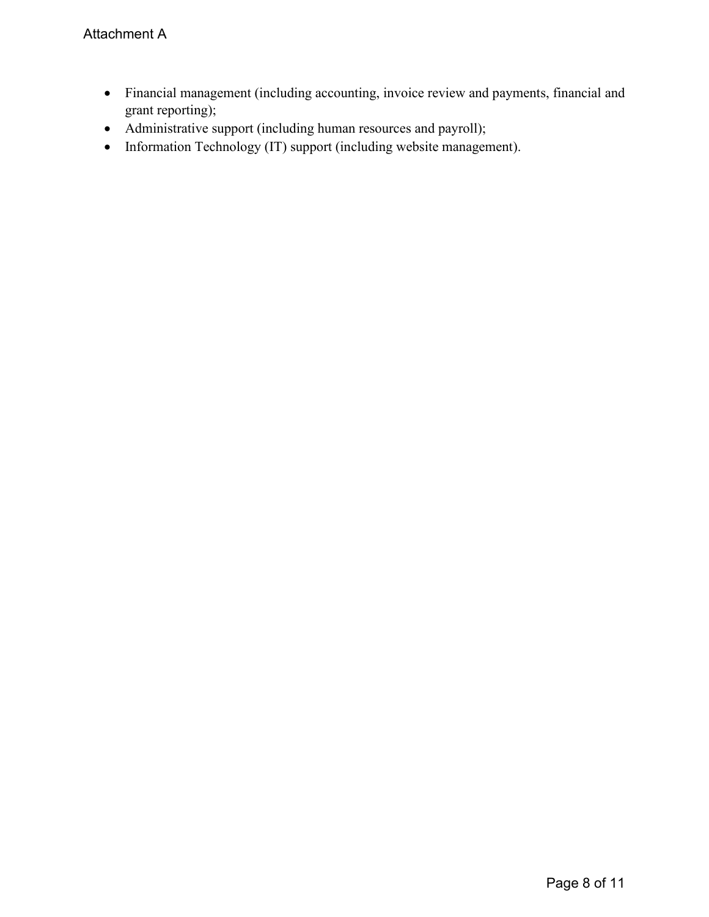- Financial management (including accounting, invoice review and payments, financial and grant reporting);
- Administrative support (including human resources and payroll);
- Information Technology (IT) support (including website management).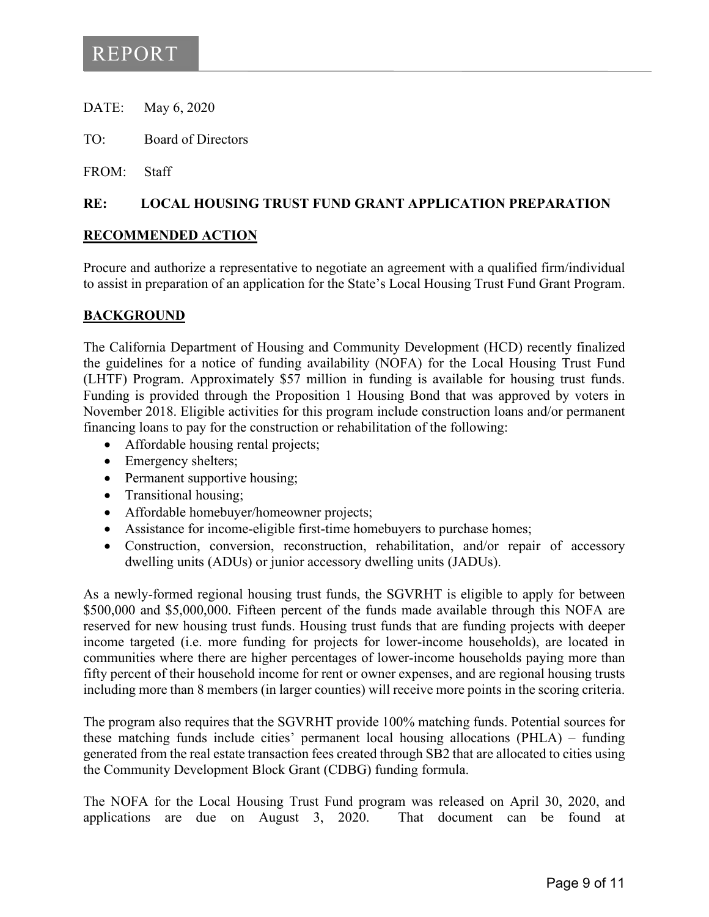- DATE: May 6, 2020
- TO: Board of Directors
- FROM: Staff

## **RE: LOCAL HOUSING TRUST FUND GRANT APPLICATION PREPARATION**

#### **RECOMMENDED ACTION**

Procure and authorize a representative to negotiate an agreement with a qualified firm/individual to assist in preparation of an application for the State's Local Housing Trust Fund Grant Program.

## **BACKGROUND**

The California Department of Housing and Community Development (HCD) recently finalized the guidelines for a notice of funding availability (NOFA) for the Local Housing Trust Fund (LHTF) Program. Approximately \$57 million in funding is available for housing trust funds. Funding is provided through the Proposition 1 Housing Bond that was approved by voters in November 2018. Eligible activities for this program include construction loans and/or permanent financing loans to pay for the construction or rehabilitation of the following:

- Affordable housing rental projects;
- Emergency shelters;
- Permanent supportive housing;
- Transitional housing;
- Affordable homebuyer/homeowner projects;
- Assistance for income-eligible first-time homebuyers to purchase homes;
- Construction, conversion, reconstruction, rehabilitation, and/or repair of accessory dwelling units (ADUs) or junior accessory dwelling units (JADUs).

As a newly-formed regional housing trust funds, the SGVRHT is eligible to apply for between \$500,000 and \$5,000,000. Fifteen percent of the funds made available through this NOFA are reserved for new housing trust funds. Housing trust funds that are funding projects with deeper income targeted (i.e. more funding for projects for lower-income households), are located in communities where there are higher percentages of lower-income households paying more than fifty percent of their household income for rent or owner expenses, and are regional housing trusts including more than 8 members (in larger counties) will receive more points in the scoring criteria.

The program also requires that the SGVRHT provide 100% matching funds. Potential sources for these matching funds include cities' permanent local housing allocations (PHLA) – funding generated from the real estate transaction fees created through SB2 that are allocated to cities using the Community Development Block Grant (CDBG) funding formula.

The NOFA for the Local Housing Trust Fund program was released on April 30, 2020, and applications are due on August 3, 2020. That document can be found at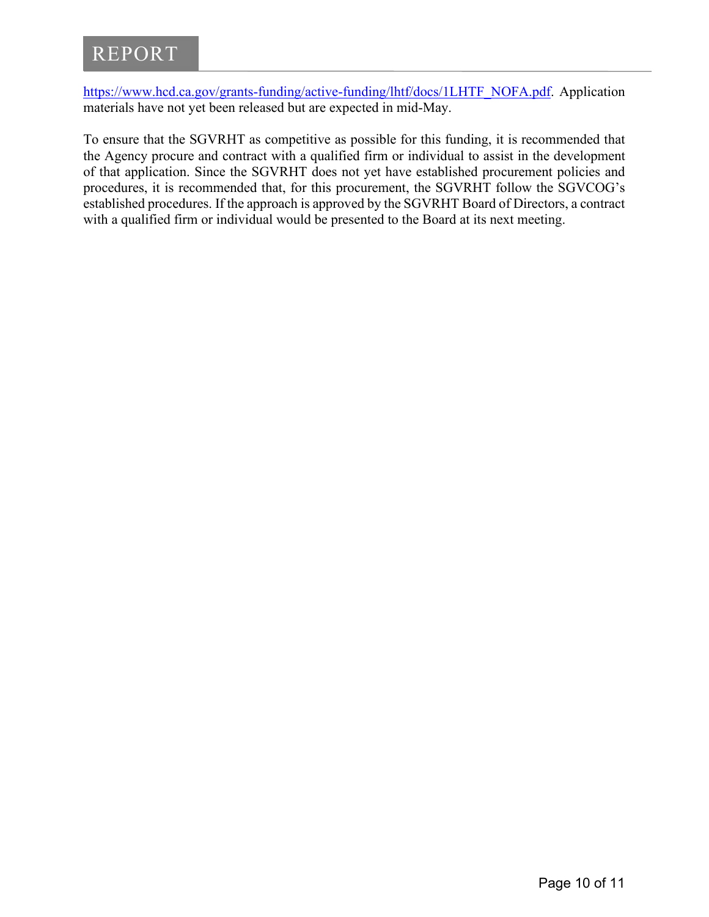[https://www.hcd.ca.gov/grants-funding/active-funding/lhtf/docs/1LHTF\\_NOFA.pdf.](https://www.hcd.ca.gov/grants-funding/active-funding/lhtf/docs/1LHTF_NOFA.pdf) Application materials have not yet been released but are expected in mid-May.

To ensure that the SGVRHT as competitive as possible for this funding, it is recommended that the Agency procure and contract with a qualified firm or individual to assist in the development of that application. Since the SGVRHT does not yet have established procurement policies and procedures, it is recommended that, for this procurement, the SGVRHT follow the SGVCOG's established procedures. If the approach is approved by the SGVRHT Board of Directors, a contract with a qualified firm or individual would be presented to the Board at its next meeting.